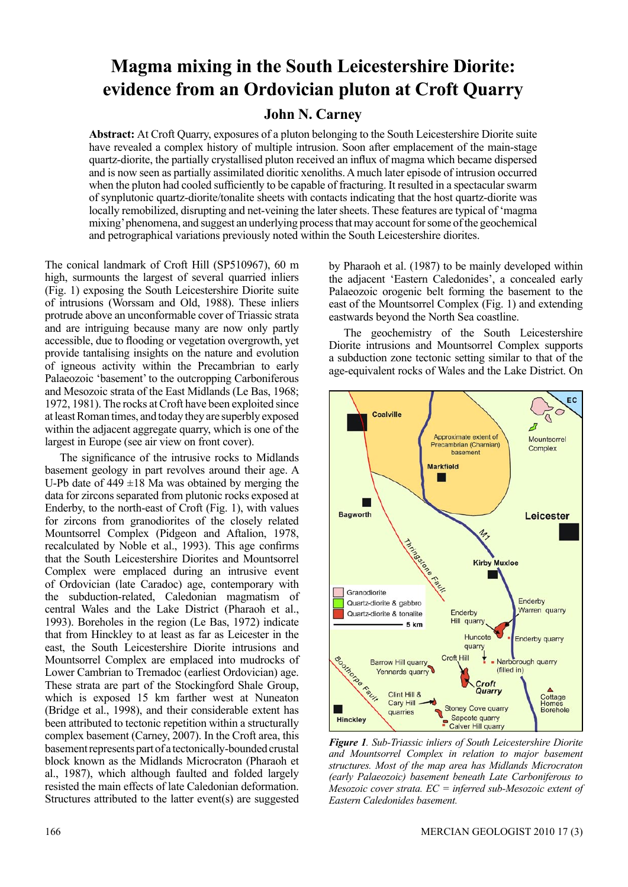# **Magma mixing in the South Leicestershire Diorite: evidence from an Ordovician pluton at Croft Quarry**

# **John N. Carney**

**Abstract:** At Croft Quarry, exposures of a pluton belonging to the South Leicestershire Diorite suite have revealed a complex history of multiple intrusion. Soon after emplacement of the main-stage quartz-diorite, the partially crystallised pluton received an influx of magma which became dispersed and is now seen as partially assimilated dioritic xenoliths. A much later episode of intrusion occurred when the pluton had cooled sufficiently to be capable of fracturing. It resulted in a spectacular swarm of synplutonic quartz-diorite/tonalite sheets with contacts indicating that the host quartz-diorite was locally remobilized, disrupting and net-veining the later sheets. These features are typical of 'magma mixing' phenomena, and suggest an underlying process that may account for some of the geochemical and petrographical variations previously noted within the South Leicestershire diorites.

The conical landmark of Croft Hill (SP510967), 60 m high, surmounts the largest of several quarried inliers (Fig. 1) exposing the South Leicestershire Diorite suite of intrusions (Worssam and Old, 1988). These inliers protrude above an unconformable cover of Triassic strata and are intriguing because many are now only partly accessible, due to flooding or vegetation overgrowth, yet provide tantalising insights on the nature and evolution of igneous activity within the Precambrian to early Palaeozoic 'basement' to the outcropping Carboniferous and Mesozoic strata of the East Midlands (Le Bas, 1968; 1972, 1981). The rocks at Croft have been exploited since at least Roman times, and today they are superbly exposed within the adjacent aggregate quarry, which is one of the largest in Europe (see air view on front cover).

The significance of the intrusive rocks to Midlands basement geology in part revolves around their age. A U-Pb date of  $449 \pm 18$  Ma was obtained by merging the data for zircons separated from plutonic rocks exposed at Enderby, to the north-east of Croft (Fig. 1), with values for zircons from granodiorites of the closely related Mountsorrel Complex (Pidgeon and Aftalion, 1978, recalculated by Noble et al., 1993). This age confirms that the South Leicestershire Diorites and Mountsorrel Complex were emplaced during an intrusive event of Ordovician (late Caradoc) age, contemporary with the subduction-related, Caledonian magmatism of central Wales and the Lake District (Pharaoh et al., 1993). Boreholes in the region (Le Bas, 1972) indicate that from Hinckley to at least as far as Leicester in the east, the South Leicestershire Diorite intrusions and Mountsorrel Complex are emplaced into mudrocks of Lower Cambrian to Tremadoc (earliest Ordovician) age. These strata are part of the Stockingford Shale Group, which is exposed 15 km farther west at Nuneaton (Bridge et al., 1998), and their considerable extent has been attributed to tectonic repetition within a structurally complex basement (Carney, 2007). In the Croft area, this basement represents part of a tectonically-bounded crustal block known as the Midlands Microcraton (Pharaoh et al., 1987), which although faulted and folded largely resisted the main effects of late Caledonian deformation. Structures attributed to the latter event(s) are suggested

by Pharaoh et al. (1987) to be mainly developed within the adjacent 'Eastern Caledonides', a concealed early Palaeozoic orogenic belt forming the basement to the east of the Mountsorrel Complex (Fig. 1) and extending eastwards beyond the North Sea coastline.

The geochemistry of the South Leicestershire Diorite intrusions and Mountsorrel Complex supports a subduction zone tectonic setting similar to that of the age-equivalent rocks of Wales and the Lake District. On



*Figure 1. Sub-Triassic inliers of South Leicestershire Diorite and Mountsorrel Complex in relation to major basement structures. Most of the map area has Midlands Microcraton (early Palaeozoic) basement beneath Late Carboniferous to Mesozoic cover strata. EC = inferred sub-Mesozoic extent of Eastern Caledonides basement.*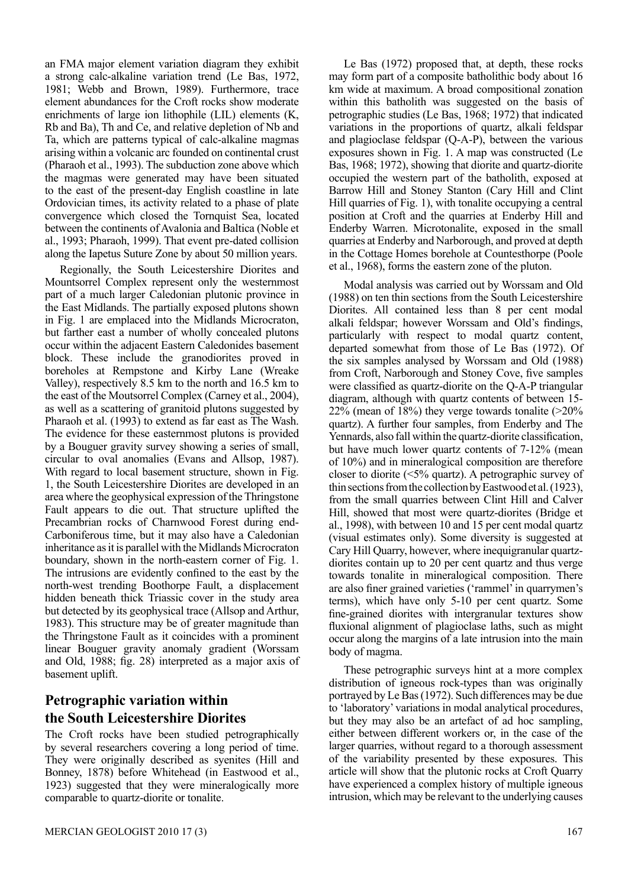an FMA major element variation diagram they exhibit a strong calc-alkaline variation trend (Le Bas, 1972, 1981; Webb and Brown, 1989). Furthermore, trace element abundances for the Croft rocks show moderate enrichments of large ion lithophile (LIL) elements (K, Rb and Ba), Th and Ce, and relative depletion of Nb and Ta, which are patterns typical of calc-alkaline magmas arising within a volcanic arc founded on continental crust (Pharaoh et al., 1993). The subduction zone above which the magmas were generated may have been situated to the east of the present-day English coastline in late Ordovician times, its activity related to a phase of plate convergence which closed the Tornquist Sea, located between the continents of Avalonia and Baltica (Noble et al., 1993; Pharaoh, 1999). That event pre-dated collision along the Iapetus Suture Zone by about 50 million years.

Regionally, the South Leicestershire Diorites and Mountsorrel Complex represent only the westernmost part of a much larger Caledonian plutonic province in the East Midlands. The partially exposed plutons shown in Fig. 1 are emplaced into the Midlands Microcraton, but farther east a number of wholly concealed plutons occur within the adjacent Eastern Caledonides basement block. These include the granodiorites proved in boreholes at Rempstone and Kirby Lane (Wreake Valley), respectively 8.5 km to the north and 16.5 km to the east of the Moutsorrel Complex (Carney et al., 2004), as well as a scattering of granitoid plutons suggested by Pharaoh et al. (1993) to extend as far east as The Wash. The evidence for these easternmost plutons is provided by a Bouguer gravity survey showing a series of small, circular to oval anomalies (Evans and Allsop, 1987). With regard to local basement structure, shown in Fig. 1, the South Leicestershire Diorites are developed in an area where the geophysical expression of the Thringstone Fault appears to die out. That structure uplifted the Precambrian rocks of Charnwood Forest during end-Carboniferous time, but it may also have a Caledonian inheritance as it is parallel with the Midlands Microcraton boundary, shown in the north-eastern corner of Fig. 1. The intrusions are evidently confined to the east by the north-west trending Boothorpe Fault, a displacement hidden beneath thick Triassic cover in the study area but detected by its geophysical trace (Allsop and Arthur, 1983). This structure may be of greater magnitude than the Thringstone Fault as it coincides with a prominent linear Bouguer gravity anomaly gradient (Worssam and Old, 1988; fig. 28) interpreted as a major axis of basement uplift.

# **Petrographic variation within the South Leicestershire Diorites**

The Croft rocks have been studied petrographically by several researchers covering a long period of time. They were originally described as syenites (Hill and Bonney, 1878) before Whitehead (in Eastwood et al., 1923) suggested that they were mineralogically more comparable to quartz-diorite or tonalite.

Le Bas (1972) proposed that, at depth, these rocks may form part of a composite batholithic body about 16 km wide at maximum. A broad compositional zonation within this batholith was suggested on the basis of petrographic studies (Le Bas, 1968; 1972) that indicated variations in the proportions of quartz, alkali feldspar and plagioclase feldspar (Q-A-P), between the various exposures shown in Fig. 1. A map was constructed (Le Bas, 1968; 1972), showing that diorite and quartz-diorite occupied the western part of the batholith, exposed at Barrow Hill and Stoney Stanton (Cary Hill and Clint Hill quarries of Fig. 1), with tonalite occupying a central position at Croft and the quarries at Enderby Hill and Enderby Warren. Microtonalite, exposed in the small quarries at Enderby and Narborough, and proved at depth in the Cottage Homes borehole at Countesthorpe (Poole et al., 1968), forms the eastern zone of the pluton.

Modal analysis was carried out by Worssam and Old (1988) on ten thin sections from the South Leicestershire Diorites. All contained less than 8 per cent modal alkali feldspar; however Worssam and Old's findings, particularly with respect to modal quartz content, departed somewhat from those of Le Bas (1972). Of the six samples analysed by Worssam and Old (1988) from Croft, Narborough and Stoney Cove, five samples were classified as quartz-diorite on the Q-A-P triangular diagram, although with quartz contents of between 15- 22% (mean of 18%) they verge towards tonalite (>20% quartz). A further four samples, from Enderby and The Yennards, also fall within the quartz-diorite classification, but have much lower quartz contents of 7-12% (mean of 10%) and in mineralogical composition are therefore closer to diorite (<5% quartz). A petrographic survey of thin sections from the collection by Eastwood et al. (1923), from the small quarries between Clint Hill and Calver Hill, showed that most were quartz-diorites (Bridge et al., 1998), with between 10 and 15 per cent modal quartz (visual estimates only). Some diversity is suggested at Cary Hill Quarry, however, where inequigranular quartzdiorites contain up to 20 per cent quartz and thus verge towards tonalite in mineralogical composition. There are also finer grained varieties ('rammel' in quarrymen's terms), which have only 5-10 per cent quartz. Some fine-grained diorites with intergranular textures show fluxional alignment of plagioclase laths, such as might occur along the margins of a late intrusion into the main body of magma.

These petrographic surveys hint at a more complex distribution of igneous rock-types than was originally portrayed by Le Bas (1972). Such differences may be due to 'laboratory' variations in modal analytical procedures, but they may also be an artefact of ad hoc sampling, either between different workers or, in the case of the larger quarries, without regard to a thorough assessment of the variability presented by these exposures. This article will show that the plutonic rocks at Croft Quarry have experienced a complex history of multiple igneous intrusion, which may be relevant to the underlying causes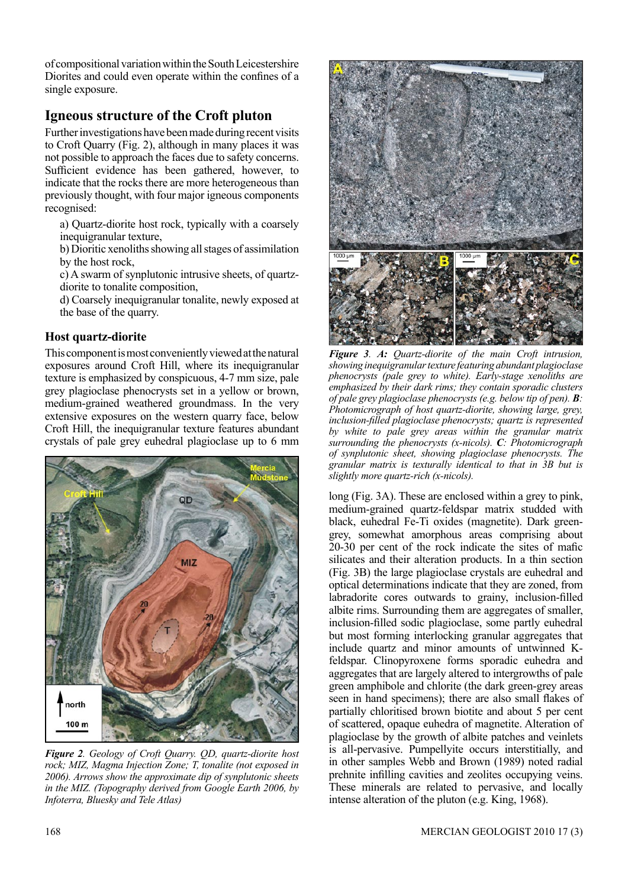of compositional variation within the South Leicestershire Diorites and could even operate within the confines of a single exposure.

# **Igneous structure of the Croft pluton**

Further investigations have been made during recent visits to Croft Quarry (Fig. 2), although in many places it was not possible to approach the faces due to safety concerns. Sufficient evidence has been gathered, however, to indicate that the rocks there are more heterogeneous than previously thought, with four major igneous components recognised:

a) Quartz-diorite host rock, typically with a coarsely inequigranular texture.

b) Dioritic xenoliths showing all stages of assimilation by the host rock,

c) A swarm of synplutonic intrusive sheets, of quartzdiorite to tonalite composition,

d) Coarsely inequigranular tonalite, newly exposed at the base of the quarry.

## **Host quartz-diorite**

This component is most conveniently viewed at the natural exposures around Croft Hill, where its inequigranular texture is emphasized by conspicuous, 4-7 mm size, pale grey plagioclase phenocrysts set in a yellow or brown, medium-grained weathered groundmass. In the very extensive exposures on the western quarry face, below Croft Hill, the inequigranular texture features abundant crystals of pale grey euhedral plagioclase up to 6 mm



*Figure 2. Geology of Croft Quarry. QD, quartz-diorite host rock; MIZ, Magma Injection Zone; T, tonalite (not exposed in 2006). Arrows show the approximate dip of synplutonic sheets in the MIZ. (Topography derived from Google Earth 2006, by Infoterra, Bluesky and Tele Atlas)*



*Figure 3. A: Quartz-diorite of the main Croft intrusion, showing inequigranular texture featuring abundant plagioclase phenocrysts (pale grey to white). Early-stage xenoliths are emphasized by their dark rims; they contain sporadic clusters of pale grey plagioclase phenocrysts (e.g. below tip of pen). B: Photomicrograph of host quartz-diorite, showing large, grey, inclusion-filled plagioclase phenocrysts; quartz is represented by white to pale grey areas within the granular matrix surrounding the phenocrysts (x-nicols). C: Photomicrograph of synplutonic sheet, showing plagioclase phenocrysts. The granular matrix is texturally identical to that in 3B but is slightly more quartz-rich (x-nicols).*

long (Fig. 3A). These are enclosed within a grey to pink, medium-grained quartz-feldspar matrix studded with black, euhedral Fe-Ti oxides (magnetite). Dark greengrey, somewhat amorphous areas comprising about 20-30 per cent of the rock indicate the sites of mafic silicates and their alteration products. In a thin section (Fig. 3B) the large plagioclase crystals are euhedral and optical determinations indicate that they are zoned, from labradorite cores outwards to grainy, inclusion-filled albite rims. Surrounding them are aggregates of smaller, inclusion-filled sodic plagioclase, some partly euhedral but most forming interlocking granular aggregates that include quartz and minor amounts of untwinned Kfeldspar. Clinopyroxene forms sporadic euhedra and aggregates that are largely altered to intergrowths of pale green amphibole and chlorite (the dark green-grey areas seen in hand specimens); there are also small flakes of partially chloritised brown biotite and about 5 per cent of scattered, opaque euhedra of magnetite. Alteration of plagioclase by the growth of albite patches and veinlets is all-pervasive. Pumpellyite occurs interstitially, and in other samples Webb and Brown (1989) noted radial prehnite infilling cavities and zeolites occupying veins. These minerals are related to pervasive, and locally intense alteration of the pluton (e.g. King, 1968).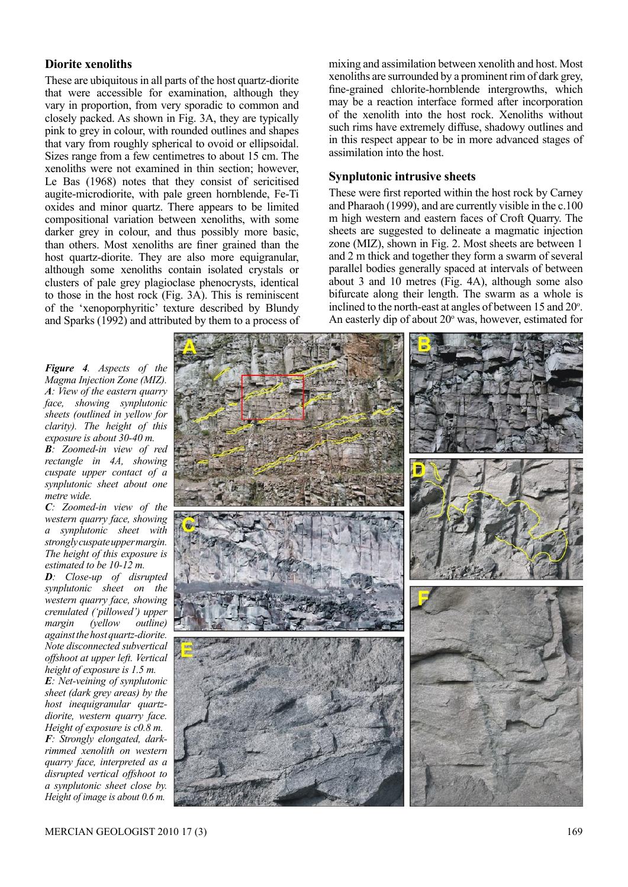### **Diorite xenoliths**

These are ubiquitous in all parts of the host quartz-diorite that were accessible for examination, although they vary in proportion, from very sporadic to common and closely packed. As shown in Fig. 3A, they are typically pink to grey in colour, with rounded outlines and shapes that vary from roughly spherical to ovoid or ellipsoidal. Sizes range from a few centimetres to about 15 cm. The xenoliths were not examined in thin section; however, Le Bas (1968) notes that they consist of sericitised augite-microdiorite, with pale green hornblende, Fe-Ti oxides and minor quartz. There appears to be limited compositional variation between xenoliths, with some darker grey in colour, and thus possibly more basic, than others. Most xenoliths are finer grained than the host quartz-diorite. They are also more equigranular, although some xenoliths contain isolated crystals or clusters of pale grey plagioclase phenocrysts, identical to those in the host rock (Fig. 3A). This is reminiscent of the 'xenoporphyritic' texture described by Blundy and Sparks (1992) and attributed by them to a process of mixing and assimilation between xenolith and host. Most xenoliths are surrounded by a prominent rim of dark grey, fine-grained chlorite-hornblende intergrowths, which may be a reaction interface formed after incorporation of the xenolith into the host rock. Xenoliths without such rims have extremely diffuse, shadowy outlines and in this respect appear to be in more advanced stages of assimilation into the host.

#### **Synplutonic intrusive sheets**

These were first reported within the host rock by Carney and Pharaoh (1999), and are currently visible in the c.100 m high western and eastern faces of Croft Quarry. The sheets are suggested to delineate a magmatic injection zone (MIZ), shown in Fig. 2. Most sheets are between 1 and 2 m thick and together they form a swarm of several parallel bodies generally spaced at intervals of between about 3 and 10 metres (Fig. 4A), although some also bifurcate along their length. The swarm as a whole is inclined to the north-east at angles of between  $15$  and  $20^{\circ}$ . An easterly dip of about  $20^{\circ}$  was, however, estimated for

*Figure 4. Aspects of the Magma Injection Zone (MIZ). A: View of the eastern quarry face, showing synplutonic sheets (outlined in yellow for clarity). The height of this exposure is about 30-40 m. B: Zoomed-in view of red rectangle in 4A, showing* 

*cuspate upper contact of a synplutonic sheet about one metre wide. C: Zoomed-in view of the* 

*western quarry face, showing a synplutonic sheet with strongly cuspate upper margin. The height of this exposure is estimated to be 10-12 m.* 

*D: Close-up of disrupted synplutonic sheet on the western quarry face, showing crenulated ('pillowed') upper margin (yellow outline) against the host quartz-diorite. Note disconnected subvertical offshoot at upper left. Vertical height of exposure is 1.5 m.* 

*E: Net-veining of synplutonic sheet (dark grey areas) by the host inequigranular quartzdiorite, western quarry face. Height of exposure is c0.8 m. F: Strongly elongated, darkrimmed xenolith on western quarry face, interpreted as a disrupted vertical offshoot to a synplutonic sheet close by. Height of image is about 0.6 m.*

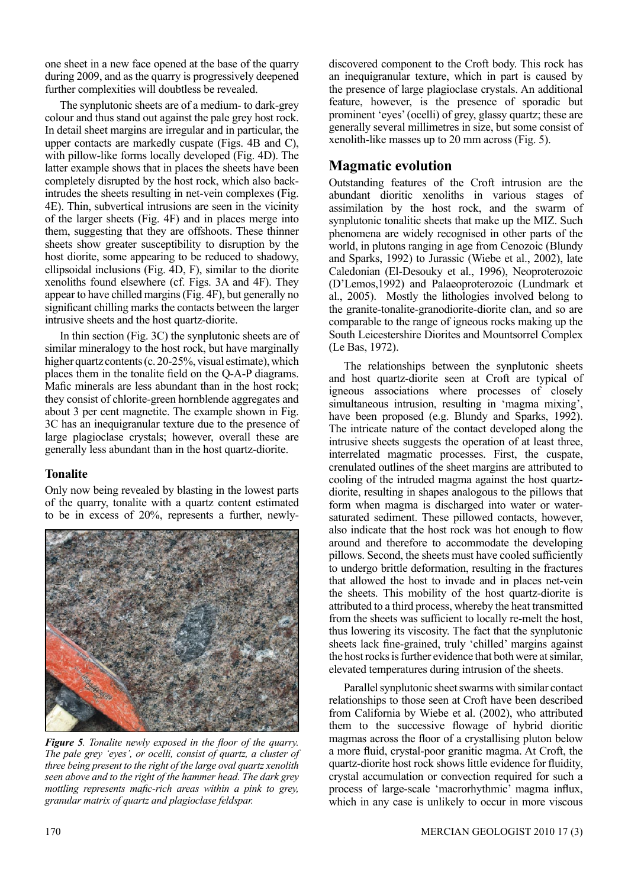one sheet in a new face opened at the base of the quarry during 2009, and as the quarry is progressively deepened further complexities will doubtless be revealed.

The synplutonic sheets are of a medium- to dark-grey colour and thus stand out against the pale grey host rock. In detail sheet margins are irregular and in particular, the upper contacts are markedly cuspate (Figs. 4B and C), with pillow-like forms locally developed (Fig. 4D). The latter example shows that in places the sheets have been completely disrupted by the host rock, which also backintrudes the sheets resulting in net-vein complexes (Fig. 4E). Thin, subvertical intrusions are seen in the vicinity of the larger sheets (Fig. 4F) and in places merge into them, suggesting that they are offshoots. These thinner sheets show greater susceptibility to disruption by the host diorite, some appearing to be reduced to shadowy, ellipsoidal inclusions (Fig. 4D, F), similar to the diorite xenoliths found elsewhere (cf. Figs. 3A and 4F). They appear to have chilled margins (Fig. 4F), but generally no significant chilling marks the contacts between the larger intrusive sheets and the host quartz-diorite.

In thin section (Fig. 3C) the synplutonic sheets are of similar mineralogy to the host rock, but have marginally higher quartz contents (c. 20-25%, visual estimate), which places them in the tonalite field on the Q-A-P diagrams. Mafic minerals are less abundant than in the host rock; they consist of chlorite-green hornblende aggregates and about 3 per cent magnetite. The example shown in Fig. 3C has an inequigranular texture due to the presence of large plagioclase crystals; however, overall these are generally less abundant than in the host quartz-diorite.

### **Tonalite**

Only now being revealed by blasting in the lowest parts of the quarry, tonalite with a quartz content estimated to be in excess of 20%, represents a further, newly-



*Figure 5. Tonalite newly exposed in the floor of the quarry. The pale grey 'eyes', or ocelli, consist of quartz, a cluster of three being present to the right of the large oval quartz xenolith seen above and to the right of the hammer head. The dark grey mottling represents mafic-rich areas within a pink to grey, granular matrix of quartz and plagioclase feldspar.* 

discovered component to the Croft body. This rock has an inequigranular texture, which in part is caused by the presence of large plagioclase crystals. An additional feature, however, is the presence of sporadic but prominent 'eyes' (ocelli) of grey, glassy quartz; these are generally several millimetres in size, but some consist of xenolith-like masses up to 20 mm across (Fig. 5).

# **Magmatic evolution**

Outstanding features of the Croft intrusion are the abundant dioritic xenoliths in various stages of assimilation by the host rock, and the swarm of synplutonic tonalitic sheets that make up the MIZ. Such phenomena are widely recognised in other parts of the world, in plutons ranging in age from Cenozoic (Blundy and Sparks, 1992) to Jurassic (Wiebe et al., 2002), late Caledonian (El-Desouky et al., 1996), Neoproterozoic (D'Lemos,1992) and Palaeoproterozoic (Lundmark et al., 2005). Mostly the lithologies involved belong to the granite-tonalite-granodiorite-diorite clan, and so are comparable to the range of igneous rocks making up the South Leicestershire Diorites and Mountsorrel Complex (Le Bas, 1972).

The relationships between the synplutonic sheets and host quartz-diorite seen at Croft are typical of igneous associations where processes of closely simultaneous intrusion, resulting in 'magma mixing', have been proposed (e.g. Blundy and Sparks, 1992). The intricate nature of the contact developed along the intrusive sheets suggests the operation of at least three, interrelated magmatic processes. First, the cuspate, crenulated outlines of the sheet margins are attributed to cooling of the intruded magma against the host quartzdiorite, resulting in shapes analogous to the pillows that form when magma is discharged into water or watersaturated sediment. These pillowed contacts, however, also indicate that the host rock was hot enough to flow around and therefore to accommodate the developing pillows. Second, the sheets must have cooled sufficiently to undergo brittle deformation, resulting in the fractures that allowed the host to invade and in places net-vein the sheets. This mobility of the host quartz-diorite is attributed to a third process, whereby the heat transmitted from the sheets was sufficient to locally re-melt the host, thus lowering its viscosity. The fact that the synplutonic sheets lack fine-grained, truly 'chilled' margins against the host rocks is further evidence that both were at similar, elevated temperatures during intrusion of the sheets.

Parallel synplutonic sheet swarms with similar contact relationships to those seen at Croft have been described from California by Wiebe et al. (2002), who attributed them to the successive flowage of hybrid dioritic magmas across the floor of a crystallising pluton below a more fluid, crystal-poor granitic magma. At Croft, the quartz-diorite host rock shows little evidence for fluidity, crystal accumulation or convection required for such a process of large-scale 'macrorhythmic' magma influx, which in any case is unlikely to occur in more viscous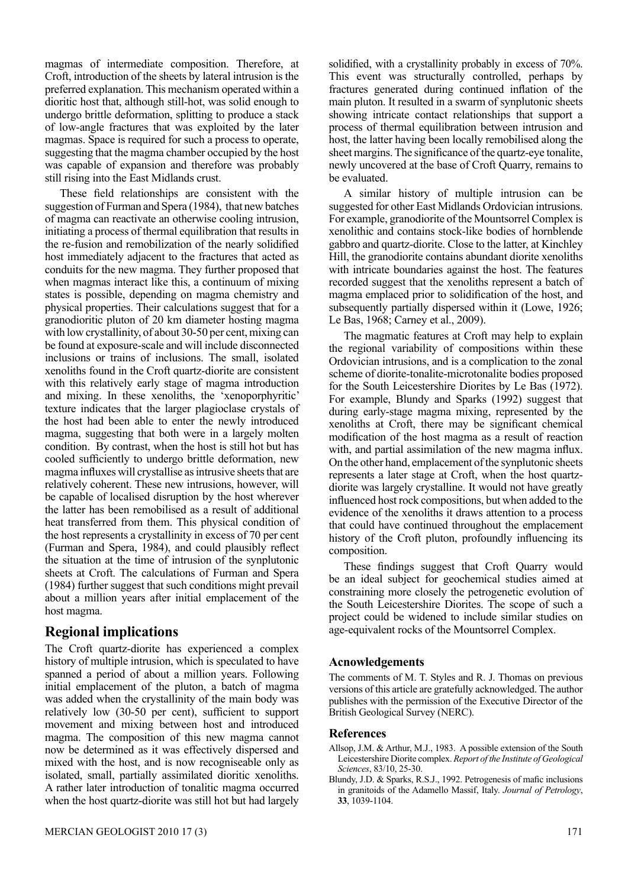magmas of intermediate composition. Therefore, at Croft, introduction of the sheets by lateral intrusion is the preferred explanation. This mechanism operated within a dioritic host that, although still-hot, was solid enough to undergo brittle deformation, splitting to produce a stack of low-angle fractures that was exploited by the later magmas. Space is required for such a process to operate, suggesting that the magma chamber occupied by the host was capable of expansion and therefore was probably still rising into the East Midlands crust.

These field relationships are consistent with the suggestion of Furman and Spera (1984), that new batches of magma can reactivate an otherwise cooling intrusion, initiating a process of thermal equilibration that results in the re-fusion and remobilization of the nearly solidified host immediately adjacent to the fractures that acted as conduits for the new magma. They further proposed that when magmas interact like this, a continuum of mixing states is possible, depending on magma chemistry and physical properties. Their calculations suggest that for a granodioritic pluton of 20 km diameter hosting magma with low crystallinity, of about 30-50 per cent, mixing can be found at exposure-scale and will include disconnected inclusions or trains of inclusions. The small, isolated xenoliths found in the Croft quartz-diorite are consistent with this relatively early stage of magma introduction and mixing. In these xenoliths, the 'xenoporphyritic' texture indicates that the larger plagioclase crystals of the host had been able to enter the newly introduced magma, suggesting that both were in a largely molten condition. By contrast, when the host is still hot but has cooled sufficiently to undergo brittle deformation, new magma influxes will crystallise as intrusive sheets that are relatively coherent. These new intrusions, however, will be capable of localised disruption by the host wherever the latter has been remobilised as a result of additional heat transferred from them. This physical condition of the host represents a crystallinity in excess of 70 per cent (Furman and Spera, 1984), and could plausibly reflect the situation at the time of intrusion of the synplutonic sheets at Croft. The calculations of Furman and Spera (1984) further suggest that such conditions might prevail about a million years after initial emplacement of the host magma.

### **Regional implications**

The Croft quartz-diorite has experienced a complex history of multiple intrusion, which is speculated to have spanned a period of about a million years. Following initial emplacement of the pluton, a batch of magma was added when the crystallinity of the main body was relatively low (30-50 per cent), sufficient to support movement and mixing between host and introduced magma. The composition of this new magma cannot now be determined as it was effectively dispersed and mixed with the host, and is now recogniseable only as isolated, small, partially assimilated dioritic xenoliths. A rather later introduction of tonalitic magma occurred when the host quartz-diorite was still hot but had largely solidified, with a crystallinity probably in excess of 70%. This event was structurally controlled, perhaps by fractures generated during continued inflation of the main pluton. It resulted in a swarm of synplutonic sheets showing intricate contact relationships that support a process of thermal equilibration between intrusion and host, the latter having been locally remobilised along the sheet margins. The significance of the quartz-eye tonalite, newly uncovered at the base of Croft Quarry, remains to be evaluated.

A similar history of multiple intrusion can be suggested for other East Midlands Ordovician intrusions. For example, granodiorite of the Mountsorrel Complex is xenolithic and contains stock-like bodies of hornblende gabbro and quartz-diorite. Close to the latter, at Kinchley Hill, the granodiorite contains abundant diorite xenoliths with intricate boundaries against the host. The features recorded suggest that the xenoliths represent a batch of magma emplaced prior to solidification of the host, and subsequently partially dispersed within it (Lowe, 1926; Le Bas, 1968; Carney et al., 2009).

The magmatic features at Croft may help to explain the regional variability of compositions within these Ordovician intrusions, and is a complication to the zonal scheme of diorite-tonalite-microtonalite bodies proposed for the South Leicestershire Diorites by Le Bas (1972). For example, Blundy and Sparks (1992) suggest that during early-stage magma mixing, represented by the xenoliths at Croft, there may be significant chemical modification of the host magma as a result of reaction with, and partial assimilation of the new magma influx. On the other hand, emplacement of the synplutonic sheets represents a later stage at Croft, when the host quartzdiorite was largely crystalline. It would not have greatly influenced host rock compositions, but when added to the evidence of the xenoliths it draws attention to a process that could have continued throughout the emplacement history of the Croft pluton, profoundly influencing its composition.

These findings suggest that Croft Quarry would be an ideal subject for geochemical studies aimed at constraining more closely the petrogenetic evolution of the South Leicestershire Diorites. The scope of such a project could be widened to include similar studies on age-equivalent rocks of the Mountsorrel Complex.

#### **Acnowledgements**

The comments of M. T. Styles and R. J. Thomas on previous versions of this article are gratefully acknowledged. The author publishes with the permission of the Executive Director of the British Geological Survey (NERC).

#### **References**

- Allsop, J.M. & Arthur, M.J., 1983. A possible extension of the South Leicestershire Diorite complex. *Report of the Institute of Geological Sciences*, 83/10, 25-30.
- Blundy, J.D. & Sparks, R.S.J., 1992. Petrogenesis of mafic inclusions in granitoids of the Adamello Massif, Italy. *Journal of Petrology*, **33**, 1039-1104.